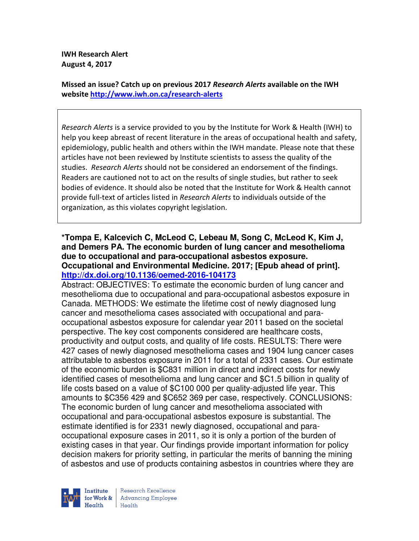**IWH Research Alert August 4, 2017** 

**Missed an issue? Catch up on previous 2017** *Research Alerts* **available on the IWH website http://www.iwh.on.ca/research-alerts**

*Research Alerts* is a service provided to you by the Institute for Work & Health (IWH) to help you keep abreast of recent literature in the areas of occupational health and safety, epidemiology, public health and others within the IWH mandate. Please note that these articles have not been reviewed by Institute scientists to assess the quality of the studies. *Research Alerts* should not be considered an endorsement of the findings. Readers are cautioned not to act on the results of single studies, but rather to seek bodies of evidence. It should also be noted that the Institute for Work & Health cannot provide full-text of articles listed in *Research Alerts* to individuals outside of the organization, as this violates copyright legislation.

### **\*Tompa E, Kalcevich C, McLeod C, Lebeau M, Song C, McLeod K, Kim J, and Demers PA. The economic burden of lung cancer and mesothelioma due to occupational and para-occupational asbestos exposure. Occupational and Environmental Medicine. 2017; [Epub ahead of print]. http://dx.doi.org/10.1136/oemed-2016-104173**

Abstract: OBJECTIVES: To estimate the economic burden of lung cancer and mesothelioma due to occupational and para-occupational asbestos exposure in Canada. METHODS: We estimate the lifetime cost of newly diagnosed lung cancer and mesothelioma cases associated with occupational and paraoccupational asbestos exposure for calendar year 2011 based on the societal perspective. The key cost components considered are healthcare costs, productivity and output costs, and quality of life costs. RESULTS: There were 427 cases of newly diagnosed mesothelioma cases and 1904 lung cancer cases attributable to asbestos exposure in 2011 for a total of 2331 cases. Our estimate of the economic burden is \$C831 million in direct and indirect costs for newly identified cases of mesothelioma and lung cancer and \$C1.5 billion in quality of life costs based on a value of \$C100 000 per quality-adjusted life year. This amounts to \$C356 429 and \$C652 369 per case, respectively. CONCLUSIONS: The economic burden of lung cancer and mesothelioma associated with occupational and para-occupational asbestos exposure is substantial. The estimate identified is for 2331 newly diagnosed, occupational and paraoccupational exposure cases in 2011, so it is only a portion of the burden of existing cases in that year. Our findings provide important information for policy decision makers for priority setting, in particular the merits of banning the mining of asbestos and use of products containing asbestos in countries where they are

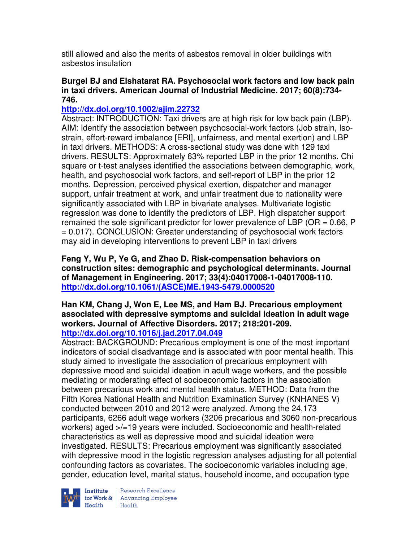still allowed and also the merits of asbestos removal in older buildings with asbestos insulation

### **Burgel BJ and Elshatarat RA. Psychosocial work factors and low back pain in taxi drivers. American Journal of Industrial Medicine. 2017; 60(8):734- 746.**

## **http://dx.doi.org/10.1002/ajim.22732**

Abstract: INTRODUCTION: Taxi drivers are at high risk for low back pain (LBP). AIM: Identify the association between psychosocial-work factors (Job strain, Isostrain, effort-reward imbalance [ERI], unfairness, and mental exertion) and LBP in taxi drivers. METHODS: A cross-sectional study was done with 129 taxi drivers. RESULTS: Approximately 63% reported LBP in the prior 12 months. Chi square or t-test analyses identified the associations between demographic, work, health, and psychosocial work factors, and self-report of LBP in the prior 12 months. Depression, perceived physical exertion, dispatcher and manager support, unfair treatment at work, and unfair treatment due to nationality were significantly associated with LBP in bivariate analyses. Multivariate logistic regression was done to identify the predictors of LBP. High dispatcher support remained the sole significant predictor for lower prevalence of LBP ( $OR = 0.66$ , P = 0.017). CONCLUSION: Greater understanding of psychosocial work factors may aid in developing interventions to prevent LBP in taxi drivers

**Feng Y, Wu P, Ye G, and Zhao D. Risk-compensation behaviors on construction sites: demographic and psychological determinants. Journal of Management in Engineering. 2017; 33(4):04017008-1-04017008-110. http://dx.doi.org/10.1061/(ASCE)ME.1943-5479.0000520** 

#### **Han KM, Chang J, Won E, Lee MS, and Ham BJ. Precarious employment associated with depressive symptoms and suicidal ideation in adult wage workers. Journal of Affective Disorders. 2017; 218:201-209. http://dx.doi.org/10.1016/j.jad.2017.04.049**

Abstract: BACKGROUND: Precarious employment is one of the most important indicators of social disadvantage and is associated with poor mental health. This study aimed to investigate the association of precarious employment with depressive mood and suicidal ideation in adult wage workers, and the possible mediating or moderating effect of socioeconomic factors in the association between precarious work and mental health status. METHOD: Data from the Fifth Korea National Health and Nutrition Examination Survey (KNHANES V) conducted between 2010 and 2012 were analyzed. Among the 24,173 participants, 6266 adult wage workers (3206 precarious and 3060 non-precarious workers) aged >/=19 years were included. Socioeconomic and health-related characteristics as well as depressive mood and suicidal ideation were investigated. RESULTS: Precarious employment was significantly associated with depressive mood in the logistic regression analyses adjusting for all potential confounding factors as covariates. The socioeconomic variables including age, gender, education level, marital status, household income, and occupation type



Institute Research Excellence<br>for Work & Advancing Employee<br>Health Health  $Heath$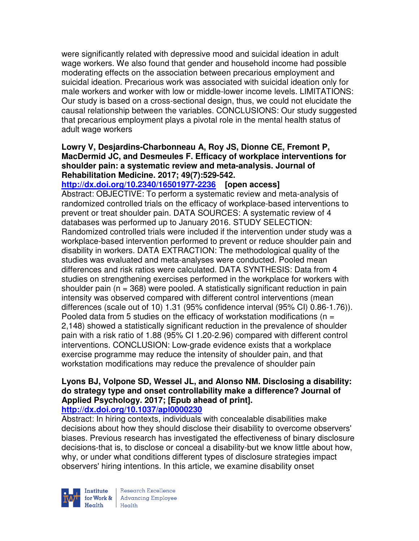were significantly related with depressive mood and suicidal ideation in adult wage workers. We also found that gender and household income had possible moderating effects on the association between precarious employment and suicidal ideation. Precarious work was associated with suicidal ideation only for male workers and worker with low or middle-lower income levels. LIMITATIONS: Our study is based on a cross-sectional design, thus, we could not elucidate the causal relationship between the variables. CONCLUSIONS: Our study suggested that precarious employment plays a pivotal role in the mental health status of adult wage workers

## **Lowry V, Desjardins-Charbonneau A, Roy JS, Dionne CE, Fremont P, MacDermid JC, and Desmeules F. Efficacy of workplace interventions for shoulder pain: a systematic review and meta-analysis. Journal of Rehabilitation Medicine. 2017; 49(7):529-542.**

**http://dx.doi.org/10.2340/16501977-2236 [open access]** Abstract: OBJECTIVE: To perform a systematic review and meta-analysis of randomized controlled trials on the efficacy of workplace-based interventions to prevent or treat shoulder pain. DATA SOURCES: A systematic review of 4 databases was performed up to January 2016. STUDY SELECTION: Randomized controlled trials were included if the intervention under study was a workplace-based intervention performed to prevent or reduce shoulder pain and disability in workers. DATA EXTRACTION: The methodological quality of the studies was evaluated and meta-analyses were conducted. Pooled mean differences and risk ratios were calculated. DATA SYNTHESIS: Data from 4 studies on strengthening exercises performed in the workplace for workers with shoulder pain  $(n = 368)$  were pooled. A statistically significant reduction in pain intensity was observed compared with different control interventions (mean differences (scale out of 10) 1.31 (95% confidence interval (95% CI) 0.86-1.76)). Pooled data from 5 studies on the efficacy of workstation modifications ( $n =$ 2,148) showed a statistically significant reduction in the prevalence of shoulder pain with a risk ratio of 1.88 (95% CI 1.20-2.96) compared with different control interventions. CONCLUSION: Low-grade evidence exists that a workplace exercise programme may reduce the intensity of shoulder pain, and that workstation modifications may reduce the prevalence of shoulder pain

#### **Lyons BJ, Volpone SD, Wessel JL, and Alonso NM. Disclosing a disability: do strategy type and onset controllability make a difference? Journal of Applied Psychology. 2017; [Epub ahead of print]. http://dx.doi.org/10.1037/apl0000230**

Abstract: In hiring contexts, individuals with concealable disabilities make decisions about how they should disclose their disability to overcome observers' biases. Previous research has investigated the effectiveness of binary disclosure decisions-that is, to disclose or conceal a disability-but we know little about how, why, or under what conditions different types of disclosure strategies impact observers' hiring intentions. In this article, we examine disability onset

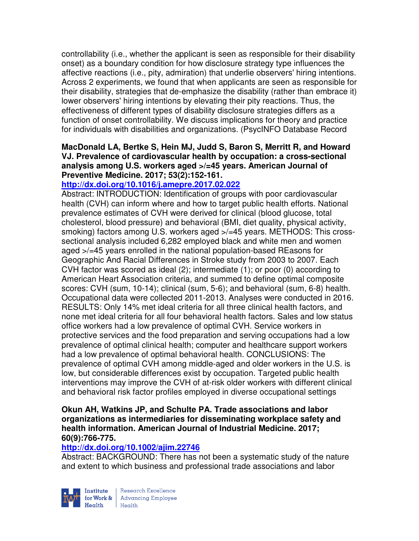controllability (i.e., whether the applicant is seen as responsible for their disability onset) as a boundary condition for how disclosure strategy type influences the affective reactions (i.e., pity, admiration) that underlie observers' hiring intentions. Across 2 experiments, we found that when applicants are seen as responsible for their disability, strategies that de-emphasize the disability (rather than embrace it) lower observers' hiring intentions by elevating their pity reactions. Thus, the effectiveness of different types of disability disclosure strategies differs as a function of onset controllability. We discuss implications for theory and practice for individuals with disabilities and organizations. (PsycINFO Database Record

## **MacDonald LA, Bertke S, Hein MJ, Judd S, Baron S, Merritt R, and Howard VJ. Prevalence of cardiovascular health by occupation: a cross-sectional analysis among U.S. workers aged >/=45 years. American Journal of Preventive Medicine. 2017; 53(2):152-161.**

## **http://dx.doi.org/10.1016/j.amepre.2017.02.022**

Abstract: INTRODUCTION: Identification of groups with poor cardiovascular health (CVH) can inform where and how to target public health efforts. National prevalence estimates of CVH were derived for clinical (blood glucose, total cholesterol, blood pressure) and behavioral (BMI, diet quality, physical activity, smoking) factors among U.S. workers aged >/=45 years. METHODS: This crosssectional analysis included 6,282 employed black and white men and women aged >/=45 years enrolled in the national population-based REasons for Geographic And Racial Differences in Stroke study from 2003 to 2007. Each CVH factor was scored as ideal (2); intermediate (1); or poor (0) according to American Heart Association criteria, and summed to define optimal composite scores: CVH (sum, 10-14); clinical (sum, 5-6); and behavioral (sum, 6-8) health. Occupational data were collected 2011-2013. Analyses were conducted in 2016. RESULTS: Only 14% met ideal criteria for all three clinical health factors, and none met ideal criteria for all four behavioral health factors. Sales and low status office workers had a low prevalence of optimal CVH. Service workers in protective services and the food preparation and serving occupations had a low prevalence of optimal clinical health; computer and healthcare support workers had a low prevalence of optimal behavioral health. CONCLUSIONS: The prevalence of optimal CVH among middle-aged and older workers in the U.S. is low, but considerable differences exist by occupation. Targeted public health interventions may improve the CVH of at-risk older workers with different clinical and behavioral risk factor profiles employed in diverse occupational settings

#### **Okun AH, Watkins JP, and Schulte PA. Trade associations and labor organizations as intermediaries for disseminating workplace safety and health information. American Journal of Industrial Medicine. 2017; 60(9):766-775.**

### **http://dx.doi.org/10.1002/ajim.22746**

Abstract: BACKGROUND: There has not been a systematic study of the nature and extent to which business and professional trade associations and labor

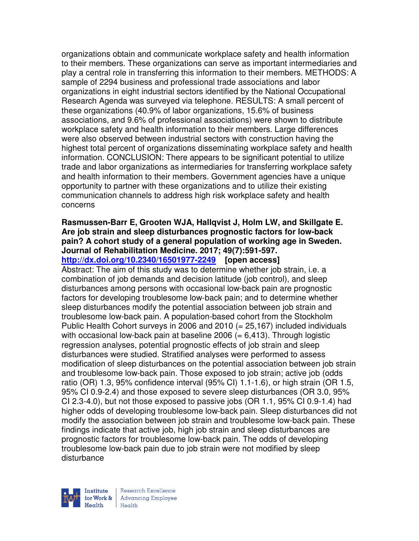organizations obtain and communicate workplace safety and health information to their members. These organizations can serve as important intermediaries and play a central role in transferring this information to their members. METHODS: A sample of 2294 business and professional trade associations and labor organizations in eight industrial sectors identified by the National Occupational Research Agenda was surveyed via telephone. RESULTS: A small percent of these organizations (40.9% of labor organizations, 15.6% of business associations, and 9.6% of professional associations) were shown to distribute workplace safety and health information to their members. Large differences were also observed between industrial sectors with construction having the highest total percent of organizations disseminating workplace safety and health information. CONCLUSION: There appears to be significant potential to utilize trade and labor organizations as intermediaries for transferring workplace safety and health information to their members. Government agencies have a unique opportunity to partner with these organizations and to utilize their existing communication channels to address high risk workplace safety and health concerns

#### **Rasmussen-Barr E, Grooten WJA, Hallqvist J, Holm LW, and Skillgate E. Are job strain and sleep disturbances prognostic factors for low-back pain? A cohort study of a general population of working age in Sweden. Journal of Rehabilitation Medicine. 2017; 49(7):591-597. http://dx.doi.org/10.2340/16501977-2249 [open access]**

Abstract: The aim of this study was to determine whether job strain, i.e. a combination of job demands and decision latitude (job control), and sleep disturbances among persons with occasional low-back pain are prognostic factors for developing troublesome low-back pain; and to determine whether sleep disturbances modify the potential association between job strain and troublesome low-back pain. A population-based cohort from the Stockholm Public Health Cohort surveys in 2006 and 2010 (= 25,167) included individuals with occasional low-back pain at baseline  $2006 (= 6.413)$ . Through logistic regression analyses, potential prognostic effects of job strain and sleep disturbances were studied. Stratified analyses were performed to assess modification of sleep disturbances on the potential association between job strain and troublesome low-back pain. Those exposed to job strain; active job (odds ratio (OR) 1.3, 95% confidence interval (95% CI) 1.1-1.6), or high strain (OR 1.5, 95% CI 0.9-2.4) and those exposed to severe sleep disturbances (OR 3.0, 95% CI 2.3-4.0), but not those exposed to passive jobs (OR 1.1, 95% CI 0.9-1.4) had higher odds of developing troublesome low-back pain. Sleep disturbances did not modify the association between job strain and troublesome low-back pain. These findings indicate that active job, high job strain and sleep disturbances are prognostic factors for troublesome low-back pain. The odds of developing troublesome low-back pain due to job strain were not modified by sleep disturbance

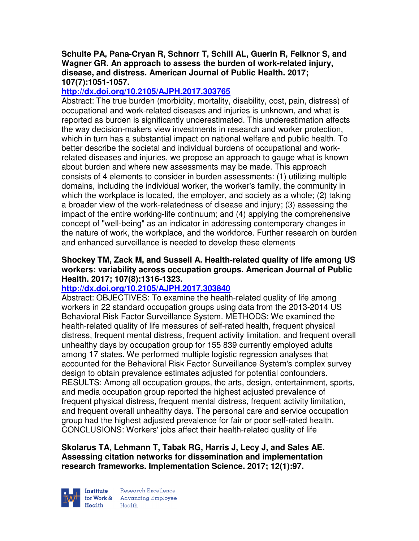### **Schulte PA, Pana-Cryan R, Schnorr T, Schill AL, Guerin R, Felknor S, and Wagner GR. An approach to assess the burden of work-related injury, disease, and distress. American Journal of Public Health. 2017; 107(7):1051-1057.**

# **http://dx.doi.org/10.2105/AJPH.2017.303765**

Abstract: The true burden (morbidity, mortality, disability, cost, pain, distress) of occupational and work-related diseases and injuries is unknown, and what is reported as burden is significantly underestimated. This underestimation affects the way decision-makers view investments in research and worker protection, which in turn has a substantial impact on national welfare and public health. To better describe the societal and individual burdens of occupational and workrelated diseases and injuries, we propose an approach to gauge what is known about burden and where new assessments may be made. This approach consists of 4 elements to consider in burden assessments: (1) utilizing multiple domains, including the individual worker, the worker's family, the community in which the workplace is located, the employer, and society as a whole; (2) taking a broader view of the work-relatedness of disease and injury; (3) assessing the impact of the entire working-life continuum; and (4) applying the comprehensive concept of "well-being" as an indicator in addressing contemporary changes in the nature of work, the workplace, and the workforce. Further research on burden and enhanced surveillance is needed to develop these elements

### **Shockey TM, Zack M, and Sussell A. Health-related quality of life among US workers: variability across occupation groups. American Journal of Public Health. 2017; 107(8):1316-1323.**

## **http://dx.doi.org/10.2105/AJPH.2017.303840**

Abstract: OBJECTIVES: To examine the health-related quality of life among workers in 22 standard occupation groups using data from the 2013-2014 US Behavioral Risk Factor Surveillance System. METHODS: We examined the health-related quality of life measures of self-rated health, frequent physical distress, frequent mental distress, frequent activity limitation, and frequent overall unhealthy days by occupation group for 155 839 currently employed adults among 17 states. We performed multiple logistic regression analyses that accounted for the Behavioral Risk Factor Surveillance System's complex survey design to obtain prevalence estimates adjusted for potential confounders. RESULTS: Among all occupation groups, the arts, design, entertainment, sports, and media occupation group reported the highest adjusted prevalence of frequent physical distress, frequent mental distress, frequent activity limitation, and frequent overall unhealthy days. The personal care and service occupation group had the highest adjusted prevalence for fair or poor self-rated health. CONCLUSIONS: Workers' jobs affect their health-related quality of life

## **Skolarus TA, Lehmann T, Tabak RG, Harris J, Lecy J, and Sales AE. Assessing citation networks for dissemination and implementation research frameworks. Implementation Science. 2017; 12(1):97.**

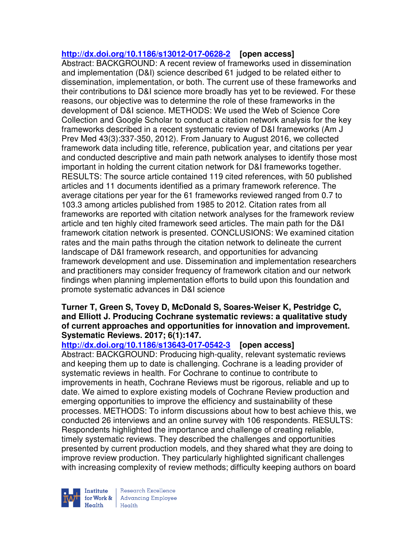## **http://dx.doi.org/10.1186/s13012-017-0628-2 [open access]**

Abstract: BACKGROUND: A recent review of frameworks used in dissemination and implementation (D&I) science described 61 judged to be related either to dissemination, implementation, or both. The current use of these frameworks and their contributions to D&I science more broadly has yet to be reviewed. For these reasons, our objective was to determine the role of these frameworks in the development of D&I science. METHODS: We used the Web of Science Core Collection and Google Scholar to conduct a citation network analysis for the key frameworks described in a recent systematic review of D&I frameworks (Am J Prev Med 43(3):337-350, 2012). From January to August 2016, we collected framework data including title, reference, publication year, and citations per year and conducted descriptive and main path network analyses to identify those most important in holding the current citation network for D&I frameworks together. RESULTS: The source article contained 119 cited references, with 50 published articles and 11 documents identified as a primary framework reference. The average citations per year for the 61 frameworks reviewed ranged from 0.7 to 103.3 among articles published from 1985 to 2012. Citation rates from all frameworks are reported with citation network analyses for the framework review article and ten highly cited framework seed articles. The main path for the D&I framework citation network is presented. CONCLUSIONS: We examined citation rates and the main paths through the citation network to delineate the current landscape of D&I framework research, and opportunities for advancing framework development and use. Dissemination and implementation researchers and practitioners may consider frequency of framework citation and our network findings when planning implementation efforts to build upon this foundation and promote systematic advances in D&I science

#### **Turner T, Green S, Tovey D, McDonald S, Soares-Weiser K, Pestridge C, and Elliott J. Producing Cochrane systematic reviews: a qualitative study of current approaches and opportunities for innovation and improvement. Systematic Reviews. 2017; 6(1):147.**

### **http://dx.doi.org/10.1186/s13643-017-0542-3 [open access]**

Abstract: BACKGROUND: Producing high-quality, relevant systematic reviews and keeping them up to date is challenging. Cochrane is a leading provider of systematic reviews in health. For Cochrane to continue to contribute to improvements in heath, Cochrane Reviews must be rigorous, reliable and up to date. We aimed to explore existing models of Cochrane Review production and emerging opportunities to improve the efficiency and sustainability of these processes. METHODS: To inform discussions about how to best achieve this, we conducted 26 interviews and an online survey with 106 respondents. RESULTS: Respondents highlighted the importance and challenge of creating reliable, timely systematic reviews. They described the challenges and opportunities presented by current production models, and they shared what they are doing to improve review production. They particularly highlighted significant challenges with increasing complexity of review methods; difficulty keeping authors on board

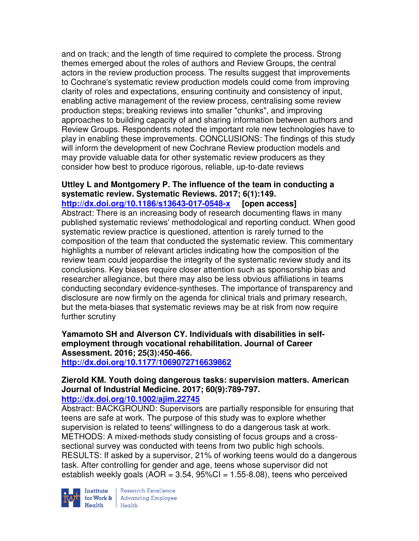and on track; and the length of time required to complete the process. Strong themes emerged about the roles of authors and Review Groups, the central actors in the review production process. The results suggest that improvements to Cochrane's systematic review production models could come from improving clarity of roles and expectations, ensuring continuity and consistency of input, enabling active management of the review process, centralising some review production steps; breaking reviews into smaller "chunks", and improving approaches to building capacity of and sharing information between authors and Review Groups. Respondents noted the important role new technologies have to play in enabling these improvements. CONCLUSIONS: The findings of this study will inform the development of new Cochrane Review production models and may provide valuable data for other systematic review producers as they consider how best to produce rigorous, reliable, up-to-date reviews

### **Uttley L and Montgomery P. The influence of the team in conducting a systematic review. Systematic Reviews. 2017; 6(1):149.**

**http://dx.doi.org/10.1186/s13643-017-0548-x [open access]** Abstract: There is an increasing body of research documenting flaws in many published systematic reviews' methodological and reporting conduct. When good systematic review practice is questioned, attention is rarely turned to the composition of the team that conducted the systematic review. This commentary highlights a number of relevant articles indicating how the composition of the review team could jeopardise the integrity of the systematic review study and its conclusions. Key biases require closer attention such as sponsorship bias and researcher allegiance, but there may also be less obvious affiliations in teams conducting secondary evidence-syntheses. The importance of transparency and disclosure are now firmly on the agenda for clinical trials and primary research, but the meta-biases that systematic reviews may be at risk from now require further scrutiny

**Yamamoto SH and Alverson CY. Individuals with disabilities in selfemployment through vocational rehabilitation. Journal of Career Assessment. 2016; 25(3):450-466.** 

**http://dx.doi.org/10.1177/1069072716639862** 

#### **Zierold KM. Youth doing dangerous tasks: supervision matters. American Journal of Industrial Medicine. 2017; 60(9):789-797. http://dx.doi.org/10.1002/ajim.22745**

Abstract: BACKGROUND: Supervisors are partially responsible for ensuring that teens are safe at work. The purpose of this study was to explore whether supervision is related to teens' willingness to do a dangerous task at work. METHODS: A mixed-methods study consisting of focus groups and a crosssectional survey was conducted with teens from two public high schools. RESULTS: If asked by a supervisor, 21% of working teens would do a dangerous task. After controlling for gender and age, teens whose supervisor did not establish weekly goals  $(AOR = 3.54, 95\%CI = 1.55-8.08)$ , teens who perceived



**Institute** Research Excellence<br> **for Work &** Advancing Employee<br> **Health** Health